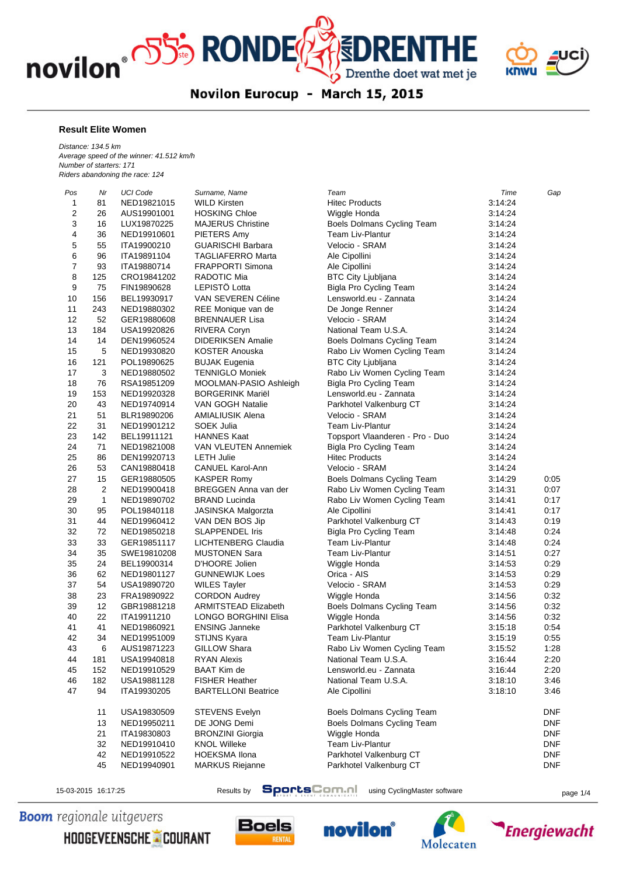



Novilon Eurocup - March 15, 2015

## **Result Elite Women**

*Distance: 134.5 km Average speed of the winner: 41.512 km/h Number of starters: 171 Riders abandoning the race: 124*

| Pos      | Nr           | <b>UCI Code</b> | Surname, Name               | Team                              | Time               | Gap        |
|----------|--------------|-----------------|-----------------------------|-----------------------------------|--------------------|------------|
| 1        | 81           | NED19821015     | <b>WILD Kirsten</b>         | <b>Hitec Products</b>             | 3:14:24            |            |
| 2        | 26           | AUS19901001     | <b>HOSKING Chloe</b>        | Wiggle Honda                      | 3:14:24            |            |
| 3        | 16           | LUX19870225     | <b>MAJERUS Christine</b>    | <b>Boels Dolmans Cycling Team</b> | 3:14:24            |            |
| 4        | 36           | NED19910601     | PIETERS Amy                 | <b>Team Liv-Plantur</b>           | 3:14:24            |            |
| 5        | 55           | ITA19900210     | <b>GUARISCHI Barbara</b>    | Velocio - SRAM                    | 3:14:24            |            |
| 6        | 96           | ITA19891104     | <b>TAGLIAFERRO Marta</b>    | Ale Cipollini                     | 3:14:24            |            |
| 7        | 93           | ITA19880714     | <b>FRAPPORTI Simona</b>     | Ale Cipollini                     | 3:14:24            |            |
| 8        | 125          | CRO19841202     | RADOTIC Mia                 | <b>BTC City Ljubljana</b>         | 3:14:24            |            |
| 9        | 75           | FIN19890628     | <b>LEPISTO Lotta</b>        | Bigla Pro Cycling Team            | 3:14:24            |            |
| 10       | 156          | BEL19930917     | VAN SEVEREN Céline          | Lensworld.eu - Zannata            | 3:14:24            |            |
| 11       | 243          | NED19880302     | REE Monique van de          | De Jonge Renner                   | 3:14:24            |            |
| 12       | 52           | GER19880608     | <b>BRENNAUER Lisa</b>       | Velocio - SRAM                    | 3:14:24            |            |
| 13       | 184          | USA19920826     | <b>RIVERA Coryn</b>         | National Team U.S.A.              | 3:14:24            |            |
| 14       | 14           | DEN19960524     | <b>DIDERIKSEN Amalie</b>    | Boels Dolmans Cycling Team        | 3:14:24            |            |
| 15       | 5            | NED19930820     | <b>KOSTER Anouska</b>       | Rabo Liv Women Cycling Team       | 3:14:24            |            |
| 16       | 121          | POL19890625     | <b>BUJAK Eugenia</b>        | <b>BTC City Ljubljana</b>         | 3:14:24            |            |
| 17       | 3            | NED19880502     | <b>TENNIGLO Moniek</b>      | Rabo Liv Women Cycling Team       | 3:14:24            |            |
| 18       | 76           | RSA19851209     | MOOLMAN-PASIO Ashleigh      | Bigla Pro Cycling Team            | 3:14:24            |            |
| 19       | 153          | NED19920328     | <b>BORGERINK Mariel</b>     | Lensworld.eu - Zannata            | 3:14:24            |            |
|          | 43           | NED19740914     | <b>VAN GOGH Natalie</b>     | Parkhotel Valkenburg CT           |                    |            |
| 20<br>21 | 51           | BLR19890206     | AMIALIUSIK Alena            | Velocio - SRAM                    | 3:14:24<br>3:14:24 |            |
| 22       | 31           |                 | SOEK Julia                  | <b>Team Liv-Plantur</b>           |                    |            |
|          |              | NED19901212     |                             |                                   | 3:14:24            |            |
| 23       | 142          | BEL19911121     | <b>HANNES Kaat</b>          | Topsport Vlaanderen - Pro - Duo   | 3:14:24            |            |
| 24       | 71           | NED19821008     | <b>VAN VLEUTEN Annemiek</b> | Bigla Pro Cycling Team            | 3:14:24            |            |
| 25       | 86           | DEN19920713     | <b>LETH Julie</b>           | <b>Hitec Products</b>             | 3:14:24            |            |
| 26       | 53           | CAN19880418     | <b>CANUEL Karol-Ann</b>     | Velocio - SRAM                    | 3:14:24            |            |
| 27       | 15           | GER19880505     | <b>KASPER Romy</b>          | Boels Dolmans Cycling Team        | 3:14:29            | 0:05       |
| 28       | 2            | NED19900418     | BREGGEN Anna van der        | Rabo Liv Women Cycling Team       | 3:14:31            | 0:07       |
| 29       | $\mathbf{1}$ | NED19890702     | <b>BRAND Lucinda</b>        | Rabo Liv Women Cycling Team       | 3:14:41            | 0:17       |
| 30       | 95           | POL19840118     | <b>JASINSKA Malgorzta</b>   | Ale Cipollini                     | 3:14:41            | 0:17       |
| 31       | 44           | NED19960412     | VAN DEN BOS Jip             | Parkhotel Valkenburg CT           | 3:14:43            | 0:19       |
| 32       | 72           | NED19850218     | <b>SLAPPENDEL Iris</b>      | Bigla Pro Cycling Team            | 3:14:48            | 0:24       |
| 33       | 33           | GER19851117     | LICHTENBERG Claudia         | <b>Team Liv-Plantur</b>           | 3:14:48            | 0:24       |
| 34       | 35           | SWE19810208     | <b>MUSTONEN Sara</b>        | <b>Team Liv-Plantur</b>           | 3:14:51            | 0:27       |
| 35       | 24           | BEL19900314     | D'HOORE Jolien              | Wiggle Honda                      | 3:14:53            | 0:29       |
| 36       | 62           | NED19801127     | <b>GUNNEWIJK Loes</b>       | Orica - AIS                       | 3:14:53            | 0:29       |
| 37       | 54           | USA19890720     | <b>WILES Tayler</b>         | Velocio - SRAM                    | 3:14:53            | 0:29       |
| 38       | 23           | FRA19890922     | <b>CORDON Audrey</b>        | Wiggle Honda                      | 3:14:56            | 0:32       |
| 39       | 12           | GBR19881218     | <b>ARMITSTEAD Elizabeth</b> | Boels Dolmans Cycling Team        | 3:14:56            | 0:32       |
| 40       | 22           | ITA19911210     | <b>LONGO BORGHINI Elisa</b> | Wiggle Honda                      | 3:14:56            | 0:32       |
| 41       | 41           | NED19860921     | <b>ENSING Janneke</b>       | Parkhotel Valkenburg CT           | 3:15:18            | 0:54       |
| 42       | 34           | NED19951009     | <b>STIJNS Kyara</b>         | <b>Team Liv-Plantur</b>           | 3:15:19            | 0:55       |
| 43       | 6            | AUS19871223     | GILLOW Shara                | Rabo Liv Women Cycling Team       | 3:15:52            | 1:28       |
| 44       | 181          | USA19940818     | <b>RYAN Alexis</b>          | National Team U.S.A.              | 3:16:44            | 2:20       |
| 45       | 152          | NED19910529     | <b>BAAT Kim de</b>          | Lensworld.eu - Zannata            | 3:16:44            | 2:20       |
| 46       | 182          | USA19881128     | <b>FISHER Heather</b>       | National Team U.S.A.              | 3:18:10            | 3:46       |
| 47       | 94           | ITA19930205     | <b>BARTELLONI Beatrice</b>  | Ale Cipollini                     | 3:18:10            | 3:46       |
|          | 11           | USA19830509     | <b>STEVENS Evelyn</b>       | Boels Dolmans Cycling Team        |                    | <b>DNF</b> |
|          | 13           | NED19950211     | DE JONG Demi                | Boels Dolmans Cycling Team        |                    | <b>DNF</b> |
|          | 21           | ITA19830803     | <b>BRONZINI Giorgia</b>     | Wiggle Honda                      |                    | <b>DNF</b> |
|          | 32           | NED19910410     | <b>KNOL Willeke</b>         | Team Liv-Plantur                  |                    | <b>DNF</b> |
|          | 42           | NED19910522     | <b>HOEKSMA Ilona</b>        | Parkhotel Valkenburg CT           |                    | <b>DNF</b> |
|          | 45           | NED19940901     | <b>MARKUS Riejanne</b>      | Parkhotel Valkenburg CT           |                    | <b>DNF</b> |

15-03-2015 16:17:25 Results by **SportsComment** using CyclingMaster software page 1/4

**Boom** regionale uitgevers

HOOGEVEENSCHE COURANT







**Energiewacht**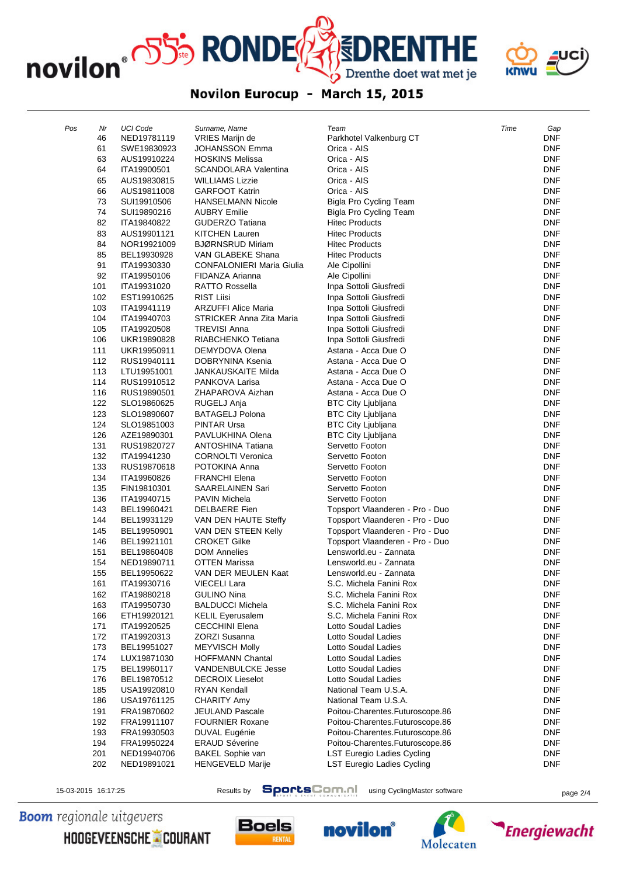novilon<sup>®</sup> OSS<sup>5</sup> RONDE



## $\textbf{\textcolor{red}{\textbf{\textcolor{blue}{\small 5}}}DRENTHE} \\\textbf{\textcolor{blue}{\textcolor{blue}{\textcolor{blue}{\textbf{D}renthe doet wat met je}}}}$ Novilon Eurocup - March 15, 2015

| Pos | Nr  | <b>UCI Code</b> | Surname, Name                    | Team                            | Time | Gap        |
|-----|-----|-----------------|----------------------------------|---------------------------------|------|------------|
|     | 46  | NED19781119     | VRIES Marijn de                  | Parkhotel Valkenburg CT         |      | DNF        |
|     | 61  | SWE19830923     | <b>JOHANSSON Emma</b>            | Orica - AIS                     |      | <b>DNF</b> |
|     | 63  | AUS19910224     | <b>HOSKINS Melissa</b>           | Orica - AIS                     |      | <b>DNF</b> |
|     | 64  | ITA19900501     | <b>SCANDOLARA Valentina</b>      | Orica - AIS                     |      | <b>DNF</b> |
|     | 65  | AUS19830815     | <b>WILLIAMS Lizzie</b>           | Orica - AIS                     |      | <b>DNF</b> |
|     | 66  | AUS19811008     | <b>GARFOOT Katrin</b>            | Orica - AIS                     |      | <b>DNF</b> |
|     | 73  | SUI19910506     | <b>HANSELMANN Nicole</b>         | Bigla Pro Cycling Team          |      | <b>DNF</b> |
|     | 74  | SUI19890216     | <b>AUBRY Emilie</b>              | Bigla Pro Cycling Team          |      | <b>DNF</b> |
|     | 82  | ITA19840822     | <b>GUDERZO Tatiana</b>           | <b>Hitec Products</b>           |      | <b>DNF</b> |
|     | 83  | AUS19901121     | <b>KITCHEN Lauren</b>            | <b>Hitec Products</b>           |      | <b>DNF</b> |
|     | 84  | NOR19921009     | <b>BJØRNSRUD Miriam</b>          | <b>Hitec Products</b>           |      | <b>DNF</b> |
|     | 85  | BEL19930928     | VAN GLABEKE Shana                | <b>Hitec Products</b>           |      | <b>DNF</b> |
|     | 91  | ITA19930330     | <b>CONFALONIERI Maria Giulia</b> | Ale Cipollini                   |      | <b>DNF</b> |
|     | 92  | ITA19950106     | FIDANZA Arianna                  | Ale Cipollini                   |      | DNF        |
|     | 101 | ITA19931020     | <b>RATTO Rossella</b>            | Inpa Sottoli Giusfredi          |      | <b>DNF</b> |
|     | 102 | EST19910625     | <b>RIST Liisi</b>                | Inpa Sottoli Giusfredi          |      | <b>DNF</b> |
|     | 103 | ITA19941119     | <b>ARZUFFI Alice Maria</b>       | Inpa Sottoli Giusfredi          |      | <b>DNF</b> |
|     | 104 | ITA19940703     | STRICKER Anna Zita Maria         | Inpa Sottoli Giusfredi          |      | <b>DNF</b> |
|     | 105 | ITA19920508     | <b>TREVISI Anna</b>              | Inpa Sottoli Giusfredi          |      | <b>DNF</b> |
|     | 106 | UKR19890828     | RIABCHENKO Tetiana               | Inpa Sottoli Giusfredi          |      | <b>DNF</b> |
|     | 111 | UKR19950911     | DEMYDOVA Olena                   | Astana - Acca Due O             |      | <b>DNF</b> |
|     | 112 | RUS19940111     | DOBRYNINA Ksenia                 | Astana - Acca Due O             |      | <b>DNF</b> |
|     | 113 | LTU19951001     | <b>JANKAUSKAITE Milda</b>        | Astana - Acca Due O             |      | <b>DNF</b> |
|     | 114 | RUS19910512     | PANKOVA Larisa                   | Astana - Acca Due O             |      | <b>DNF</b> |
|     | 116 | RUS19890501     | ZHAPAROVA Aizhan                 | Astana - Acca Due O             |      | <b>DNF</b> |
|     | 122 | SLO19860625     | RUGELJ Anja                      | <b>BTC City Ljubljana</b>       |      | <b>DNF</b> |
|     | 123 | SLO19890607     | <b>BATAGELJ Polona</b>           | <b>BTC City Ljubljana</b>       |      | <b>DNF</b> |
|     | 124 | SLO19851003     | <b>PINTAR Ursa</b>               | <b>BTC City Ljubljana</b>       |      | <b>DNF</b> |
|     | 126 | AZE19890301     | PAVLUKHINA Olena                 | <b>BTC City Ljubljana</b>       |      | <b>DNF</b> |
|     | 131 | RUS19820727     | <b>ANTOSHINA Tatiana</b>         | Servetto Footon                 |      | <b>DNF</b> |
|     | 132 | ITA19941230     | <b>CORNOLTI Veronica</b>         | Servetto Footon                 |      | <b>DNF</b> |
|     | 133 | RUS19870618     | POTOKINA Anna                    | Servetto Footon                 |      | <b>DNF</b> |
|     | 134 | ITA19960826     | <b>FRANCHI Elena</b>             | Servetto Footon                 |      | <b>DNF</b> |
|     | 135 | FIN19810301     | <b>SAARELAINEN Sari</b>          | Servetto Footon                 |      | <b>DNF</b> |
|     | 136 | ITA19940715     | <b>PAVIN Michela</b>             | Servetto Footon                 |      | <b>DNF</b> |
|     | 143 | BEL19960421     | <b>DELBAERE</b> Fien             | Topsport Vlaanderen - Pro - Duo |      | <b>DNF</b> |
|     | 144 | BEL19931129     | VAN DEN HAUTE Steffy             | Topsport Vlaanderen - Pro - Duo |      | <b>DNF</b> |
|     | 145 | BEL19950901     | VAN DEN STEEN Kelly              | Topsport Vlaanderen - Pro - Duo |      | <b>DNF</b> |
|     | 146 | BEL19921101     | <b>CROKET Gilke</b>              | Topsport Vlaanderen - Pro - Duo |      | <b>DNF</b> |
|     | 151 | BEL19860408     | <b>DOM Annelies</b>              | Lensworld.eu - Zannata          |      | DNF        |
|     | 154 | NED19890711     | <b>OTTEN Marissa</b>             | Lensworld.eu - Zannata          |      | <b>DNF</b> |
|     | 155 | BEL19950622     | VAN DER MEULEN Kaat              | Lensworld.eu - Zannata          |      | <b>DNF</b> |
|     | 161 | ITA19930716     | <b>VIECELI Lara</b>              | S.C. Michela Fanini Rox         |      | <b>DNF</b> |
|     | 162 | ITA19880218     | <b>GULINO Nina</b>               | S.C. Michela Fanini Rox         |      | DNF        |
|     | 163 | ITA19950730     | <b>BALDUCCI Michela</b>          | S.C. Michela Fanini Rox         |      | <b>DNF</b> |
|     | 166 | ETH19920121     | <b>KELIL Eyerusalem</b>          | S.C. Michela Fanini Rox         |      | <b>DNF</b> |
|     | 171 | ITA19920525     | <b>CECCHINI Elena</b>            | Lotto Soudal Ladies             |      | <b>DNF</b> |
|     | 172 | ITA19920313     | <b>ZORZI Susanna</b>             | Lotto Soudal Ladies             |      | DNF        |
|     | 173 | BEL19951027     | <b>MEYVISCH Molly</b>            | Lotto Soudal Ladies             |      | <b>DNF</b> |
|     | 174 | LUX19871030     | <b>HOFFMANN Chantal</b>          | Lotto Soudal Ladies             |      | <b>DNF</b> |
|     | 175 | BEL19960117     | VANDENBULCKE Jesse               | Lotto Soudal Ladies             |      | <b>DNF</b> |
|     | 176 | BEL19870512     | <b>DECROIX Lieselot</b>          | Lotto Soudal Ladies             |      | <b>DNF</b> |
|     | 185 | USA19920810     | <b>RYAN Kendall</b>              | National Team U.S.A.            |      | <b>DNF</b> |
|     | 186 | USA19761125     | <b>CHARITY Amy</b>               | National Team U.S.A.            |      | DNF        |
|     | 191 | FRA19870602     | <b>JEULAND Pascale</b>           | Poitou-Charentes.Futuroscope.86 |      | <b>DNF</b> |
|     | 192 | FRA19911107     | <b>FOURNIER Roxane</b>           | Poitou-Charentes.Futuroscope.86 |      | <b>DNF</b> |
|     | 193 | FRA19930503     | DUVAL Eugénie                    | Poitou-Charentes.Futuroscope.86 |      | <b>DNF</b> |
|     | 194 | FRA19950224     | <b>ERAUD Séverine</b>            | Poitou-Charentes.Futuroscope.86 |      | <b>DNF</b> |
|     | 201 | NED19940706     | <b>BAKEL Sophie van</b>          | LST Euregio Ladies Cycling      |      | <b>DNF</b> |
|     | 202 | NED19891021     | HENGEVELD Marije                 | LST Euregio Ladies Cycling      |      | <b>DNF</b> |

15-03-2015 16:17:25 Results by **SportsCom.ni** using CyclingMaster software page 2/4

**Boom** regionale uitgevers

HOOGEVEENSCHE COURANT







**Energiewacht**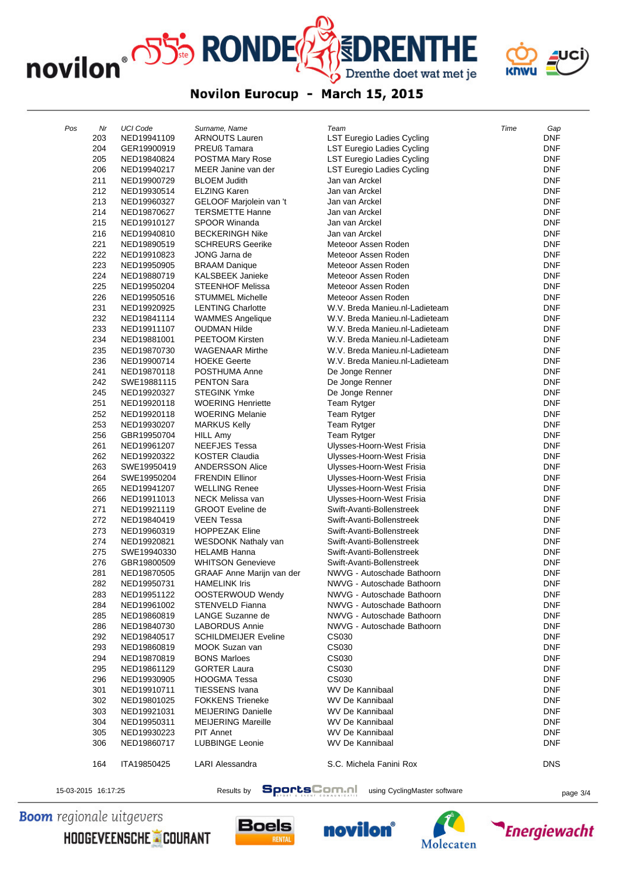novilon<sup>®</sup> OSS<sup>5</sup> RONDE



## $\textbf{\textcolor{red}{\textbf{\textcolor{blue}{\small 5}}}DRENTHE} \\\textbf{\textcolor{blue}{\textcolor{blue}{\textcolor{blue}{\textbf{D}renthe doet wat met je}}}}$ Novilon Eurocup - March 15, 2015

| Pos | Nr  | <b>UCI Code</b> | Surname, Name               | Team                           | Time | Gap        |
|-----|-----|-----------------|-----------------------------|--------------------------------|------|------------|
|     | 203 | NED19941109     | <b>ARNOUTS Lauren</b>       | LST Euregio Ladies Cycling     |      | <b>DNF</b> |
|     | 204 | GER19900919     | <b>PREUß Tamara</b>         | LST Euregio Ladies Cycling     |      | <b>DNF</b> |
|     | 205 | NED19840824     | POSTMA Mary Rose            | LST Euregio Ladies Cycling     |      | <b>DNF</b> |
|     | 206 | NED19940217     | MEER Janine van der         | LST Euregio Ladies Cycling     |      | <b>DNF</b> |
|     | 211 | NED19900729     | <b>BLOEM Judith</b>         | Jan van Arckel                 |      | <b>DNF</b> |
|     | 212 | NED19930514     | <b>ELZING Karen</b>         | Jan van Arckel                 |      | <b>DNF</b> |
|     | 213 | NED19960327     | GELOOF Marjolein van 't     | Jan van Arckel                 |      | <b>DNF</b> |
|     | 214 | NED19870627     | <b>TERSMETTE Hanne</b>      | Jan van Arckel                 |      | <b>DNF</b> |
|     | 215 | NED19910127     | <b>SPOOR Winanda</b>        | Jan van Arckel                 |      | <b>DNF</b> |
|     | 216 | NED19940810     | <b>BECKERINGH Nike</b>      | Jan van Arckel                 |      | <b>DNF</b> |
|     | 221 | NED19890519     | <b>SCHREURS Geerike</b>     | Meteoor Assen Roden            |      | <b>DNF</b> |
|     | 222 | NED19910823     | JONG Jarna de               | Meteoor Assen Roden            |      | <b>DNF</b> |
|     | 223 | NED19950905     | <b>BRAAM Danique</b>        | Meteoor Assen Roden            |      | <b>DNF</b> |
|     | 224 | NED19880719     | KALSBEEK Janieke            | Meteoor Assen Roden            |      | <b>DNF</b> |
|     | 225 | NED19950204     | <b>STEENHOF Melissa</b>     | Meteoor Assen Roden            |      | <b>DNF</b> |
|     | 226 | NED19950516     | <b>STUMMEL Michelle</b>     | Meteoor Assen Roden            |      | <b>DNF</b> |
|     | 231 | NED19920925     | <b>LENTING Charlotte</b>    | W.V. Breda Manieu.nl-Ladieteam |      | <b>DNF</b> |
|     | 232 | NED19841114     | <b>WAMMES Angelique</b>     | W.V. Breda Manieu.nl-Ladieteam |      | <b>DNF</b> |
|     | 233 | NED19911107     | OUDMAN Hilde                | W.V. Breda Manieu.nl-Ladieteam |      | <b>DNF</b> |
|     | 234 | NED19881001     | PEETOOM Kirsten             | W.V. Breda Manieu.nl-Ladieteam |      | <b>DNF</b> |
|     | 235 | NED19870730     | <b>WAGENAAR Mirthe</b>      | W.V. Breda Manieu.nl-Ladieteam |      | <b>DNF</b> |
|     | 236 | NED19900714     | <b>HOEKE Geerte</b>         | W.V. Breda Manieu.nl-Ladieteam |      | <b>DNF</b> |
|     | 241 | NED19870118     | POSTHUMA Anne               | De Jonge Renner                |      | <b>DNF</b> |
|     | 242 | SWE19881115     | <b>PENTON Sara</b>          | De Jonge Renner                |      | <b>DNF</b> |
|     | 245 | NED19920327     | <b>STEGINK Ymke</b>         | De Jonge Renner                |      | <b>DNF</b> |
|     | 251 | NED19920118     | <b>WOERING Henriette</b>    | Team Rytger                    |      | <b>DNF</b> |
|     | 252 | NED19920118     | <b>WOERING Melanie</b>      | Team Rytger                    |      | <b>DNF</b> |
|     | 253 | NED19930207     | <b>MARKUS Kelly</b>         | Team Rytger                    |      | <b>DNF</b> |
|     | 256 | GBR19950704     | HILL Amy                    | Team Rytger                    |      | <b>DNF</b> |
|     | 261 | NED19961207     | <b>NEEFJES Tessa</b>        | Ulysses-Hoorn-West Frisia      |      | <b>DNF</b> |
|     | 262 | NED19920322     | KOSTER Claudia              | Ulysses-Hoorn-West Frisia      |      | <b>DNF</b> |
|     | 263 | SWE19950419     | <b>ANDERSSON Alice</b>      | Ulysses-Hoorn-West Frisia      |      | <b>DNF</b> |
|     | 264 | SWE19950204     | <b>FRENDIN Ellinor</b>      | Ulysses-Hoorn-West Frisia      |      | <b>DNF</b> |
|     | 265 | NED19941207     | <b>WELLING Renee</b>        | Ulysses-Hoorn-West Frisia      |      | <b>DNF</b> |
|     | 266 | NED19911013     | NECK Melissa van            | Ulysses-Hoorn-West Frisia      |      | <b>DNF</b> |
|     | 271 | NED19921119     | <b>GROOT</b> Eveline de     | Swift-Avanti-Bollenstreek      |      | <b>DNF</b> |
|     | 272 | NED19840419     | <b>VEEN Tessa</b>           | Swift-Avanti-Bollenstreek      |      | <b>DNF</b> |
|     | 273 | NED19960319     | <b>HOPPEZAK Eline</b>       | Swift-Avanti-Bollenstreek      |      | <b>DNF</b> |
|     | 274 | NED19920821     | <b>WESDONK Nathaly van</b>  | Swift-Avanti-Bollenstreek      |      | <b>DNF</b> |
|     | 275 | SWE19940330     | <b>HELAMB Hanna</b>         | Swift-Avanti-Bollenstreek      |      | <b>DNF</b> |
|     | 276 | GBR19800509     | <b>WHITSON Genevieve</b>    | Swift-Avanti-Bollenstreek      |      | <b>DNF</b> |
|     | 281 | NED19870505     | GRAAF Anne Marijn van der   | NWVG - Autoschade Bathoorn     |      | <b>DNF</b> |
|     | 282 | NED19950731     | <b>HAMELINK INS</b>         | NWVG - Autoschade Bathoorn     |      | <b>DNF</b> |
|     | 283 | NED19951122     | OOSTERWOUD Wendy            | NWVG - Autoschade Bathoorn     |      | <b>DNF</b> |
|     | 284 | NED19961002     | STENVELD Fianna             | NWVG - Autoschade Bathoorn     |      | <b>DNF</b> |
|     | 285 | NED19860819     | LANGE Suzanne de            | NWVG - Autoschade Bathoorn     |      | <b>DNF</b> |
|     | 286 | NED19840730     | <b>LABORDUS Annie</b>       | NWVG - Autoschade Bathoorn     |      | <b>DNF</b> |
|     | 292 | NED19840517     | <b>SCHILDMEIJER Eveline</b> | CS030                          |      | <b>DNF</b> |
|     | 293 | NED19860819     | MOOK Suzan van              | CS030                          |      | <b>DNF</b> |
|     | 294 | NED19870819     | <b>BONS Marloes</b>         | CS030                          |      | <b>DNF</b> |
|     | 295 | NED19861129     | <b>GORTER Laura</b>         | CS030                          |      | <b>DNF</b> |
|     | 296 | NED19930905     | <b>HOOGMA Tessa</b>         | CS030                          |      | <b>DNF</b> |
|     | 301 | NED19910711     | <b>TIESSENS Ivana</b>       | <b>WV De Kannibaal</b>         |      | <b>DNF</b> |
|     | 302 | NED19801025     | <b>FOKKENS Trieneke</b>     | <b>WV De Kannibaal</b>         |      | <b>DNF</b> |
|     | 303 | NED19921031     | <b>MEIJERING Danielle</b>   | WV De Kannibaal                |      | <b>DNF</b> |
|     | 304 | NED19950311     | <b>MEIJERING Mareille</b>   | <b>WV De Kannibaal</b>         |      | <b>DNF</b> |
|     | 305 | NED19930223     | PIT Annet                   | <b>WV De Kannibaal</b>         |      | <b>DNF</b> |
|     | 306 | NED19860717     | <b>LUBBINGE Leonie</b>      | <b>WV De Kannibaal</b>         |      | <b>DNF</b> |
|     |     |                 |                             |                                |      |            |
|     | 164 | ITA19850425     | LARI Alessandra             | S.C. Michela Fanini Rox        |      | <b>DNS</b> |
|     |     |                 |                             |                                |      |            |

15-03-2015 16:17:25 Results by **SportsCom.ni** using CyclingMaster software page 3/4

**Boom** regionale uitgevers